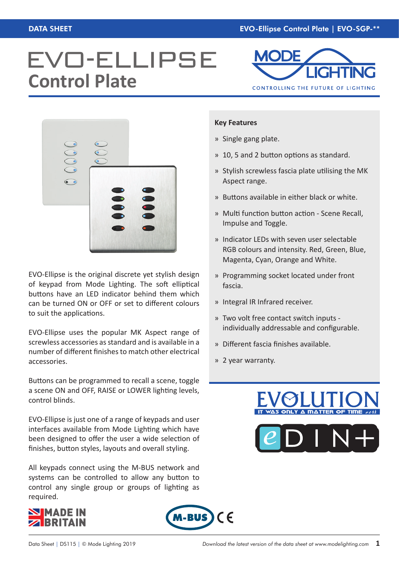# **EVO-ELLIPSE Control Plate**





EVO-Ellipse is the original discrete yet stylish design of keypad from Mode Lighting. The soft elliptical buttons have an LED indicator behind them which can be turned ON or OFF or set to different colours to suit the applications.

EVO-Ellipse uses the popular MK Aspect range of screwless accessories as standard and is available in a number of different finishes to match other electrical accessories.

Buttons can be programmed to recall a scene, toggle a scene ON and OFF, RAISE or LOWER lighting levels, control blinds.

EVO-Ellipse is just one of a range of keypads and user interfaces available from Mode Lighting which have been designed to offer the user a wide selection of finishes, button styles, layouts and overall styling.

All keypads connect using the M-BUS network and systems can be controlled to allow any button to control any single group or groups of lighting as required.





#### **Key Features**

- » Single gang plate.
- » 10, 5 and 2 button options as standard.
- » Stylish screwless fascia plate utilising the MK Aspect range.
- » Buttons available in either black or white.
- » Multi function button action Scene Recall, Impulse and Toggle.
- » Indicator LEDs with seven user selectable RGB colours and intensity. Red, Green, Blue, Magenta, Cyan, Orange and White.
- » Programming socket located under front fascia.
- » Integral IR Infrared receiver.
- » Two volt free contact switch inputs individually addressable and configurable.
- » Different fascia finishes available.
- » 2 year warranty.